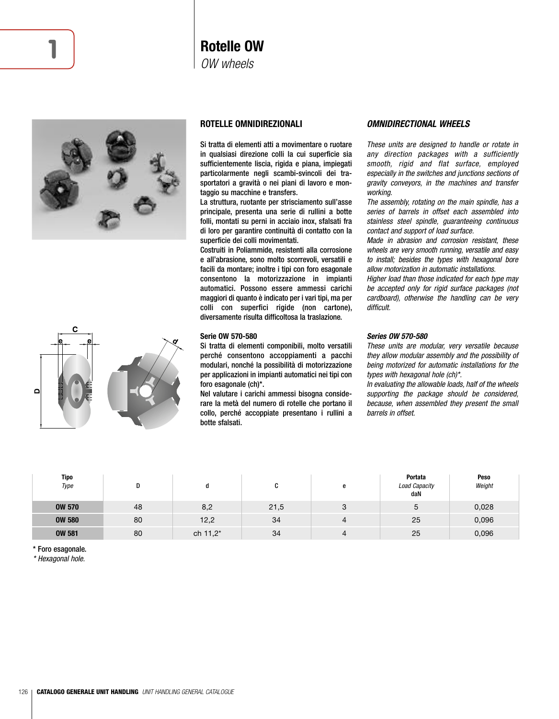



## **ROTELLE OMNIDIREZIONALI**

Si tratta di elementi atti a movimentare o ruotare in qualsiasi direzione colli la cui superficie sia sufficientemente liscia, rigida e piana, impiegati particolarmente negli scambi-svincoli dei trasportatori a gravità o nei piani di lavoro e montaggio su macchine e transfers.

La struttura, ruotante per strisciamento sull'asse principale, presenta una serie di rullini a botte folli, montati su perni in acciaio inox, sfalsati fra di loro per garantire continuità di contatto con la superficie dei colli movimentati.

Costruiti in Poliammide, resistenti alla corrosione e all'abrasione, sono molto scorrevoli, versatili e facili da montare; inoltre i tipi con foro esagonale consentono la motorizzazione in impianti automatici. Possono essere ammessi carichi maggiori di quanto è indicato per i vari tipi, ma per colli con superfici rigide (non cartone), diversamente risulta difficoltosa la traslazione.

#### **Serie OW 570-580**

Si tratta di elementi componibili, molto versatili perché consentono accoppiamenti a pacchi modulari, nonché la possibilità di motorizzazione per applicazioni in impianti automatici nei tipi con foro esagonale (ch)\*.

Nel valutare i carichi ammessi bisogna considerare la metà del numero di rotelle che portano il collo, perché accoppiate presentano i rullini a botte sfalsati.

## *OMNIDIRECTIONAL WHEELS*

These units are designed to handle or rotate in any direction packages with a sufficiently smooth, rigid and flat surface, employed especially in the switches and junctions sections of gravity conveyors, in the machines and transfer working.

The assembly, rotating on the main spindle, has a series of barrels in offset each assembled into stainless steel spindle, guaranteeing continuous contact and support of load surface.

Made in abrasion and corrosion resistant, these wheels are very smooth running, versatile and easy to install; besides the types with hexagonal bore allow motorization in automatic installations.

Higher load than those indicated for each type may be accepted only for rigid surface packages (not cardboard), otherwise the handling can be very difficult.

## *Series OW 570-580*

These units are modular, very versatile because they allow modular assembly and the possibility of being motorized for automatic installations for the types with hexagonal hole (ch)\*.

In evaluating the allowable loads, half of the wheels supporting the package should be considered, because, when assembled they present the small barrels in offset.

| Tipo<br>Type  | D  | u        | C    | e | Portata<br><b>Load Capacity</b><br>daN | Peso<br>Weight |
|---------------|----|----------|------|---|----------------------------------------|----------------|
| <b>OW 570</b> | 48 | 8,2      | 21,5 | 3 | 5                                      | 0,028          |
| <b>OW 580</b> | 80 | 12,2     | 34   |   | 25                                     | 0,096          |
| <b>OW 581</b> | 80 | ch 11,2* | 34   |   | 25                                     | 0,096          |

\* Foro esagonale.

\* Hexagonal hole.